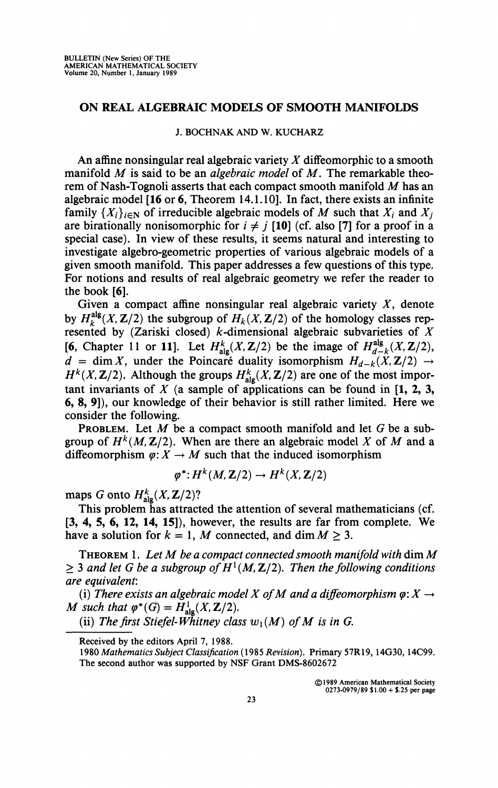## **ON REAL ALGEBRAIC MODELS OF SMOOTH MANIFOLDS**

## **J. BOCHNAK AND W. KUCHARZ**

An affine nonsingular real algebraic variety *X* difFeomorphic to a smooth manifold *M* is said to be an *algebraic model* of *M*. The remarkable theorem of Nash-Tognoli asserts that each compact smooth manifold *M* has an algebraic model **[16** or 6, Theorem 14.1.10]. In fact, there exists an infinite family  $\{X_i\}_{i\in\mathbb{N}}$  of irreducible algebraic models of *M* such that  $X_i$  and  $X_j$ are birationally nonisomorphic for  $i \neq j$  [10] (cf. also [7] for a proof in a special case). In view of these results, it seems natural and interesting to investigate algebro-geometric properties of various algebraic models of a given smooth manifold. This paper addresses a few questions of this type. For notions and results of real algebraic geometry we refer the reader to the book [6].

Given a compact affine nonsingular real algebraic variety  $X$ , denote by  $H_k^{alg}(X, \mathbb{Z}/2)$  the subgroup of  $H_k(X, \mathbb{Z}/2)$  of the homology classes represented by  $(Zariski closed)$  *k*-dimensional algebraic subvarieties of *X* [6, Chapter 11 or 11]. Let  $H^k_{\text{ale}}(X, \mathbb{Z}/2)$  be the image of  $H^{alg}_{d-k}(X, \mathbb{Z}/2)$ ,  $d = \dim X$ , under the Poincaré duality isomorphism  $H_{d-k}(\hat{X}, \mathbf{Z}/2) \rightarrow$  $H^k(X, \mathbb{Z}/2)$ . Although the groups  $H^k_{ab}(X, \mathbb{Z}/2)$  are one of the most important invariants of  $X$  (a sample of applications can be found in  $[1, 2, 3, 3]$ 6, 8, 9]), our knowledge of their behavior is still rather limited. Here we consider the following.

PROBLEM. Let *M* be a compact smooth manifold and let G be a subgroup of  $H^k(M, \mathbb{Z}/2)$ . When are there an algebraic model X of M and a diffeomorphism  $\varphi: X \to M$  such that the induced isomorphism

$$
\varphi^*: H^k(M, \mathbf{Z}/2) \to H^k(X, \mathbf{Z}/2)
$$

maps *G* onto  $H^k_{\text{alg}}(X, \mathbb{Z}/2)$ ?

This problem has attracted the attention of several mathematicians (cf. [3, 4, 5, 6, 12, 14, **15]),** however, the results are far from complete. We have a solution for  $k = 1$ , M connected, and dim  $M \geq 3$ .

THEOREM 1. *Let M be a compact connected smooth manifold with* dim *M*   $\geq$  3 and let G be a subgroup of  $H^1(M, \mathbb{Z}/2)$ . Then the following conditions *are equivalent:* 

(i) There exists an algebraic model X of M and a diffeomorphism  $\varphi: X \to Y$ *M* such that  $\varphi^*(G) = H^1_{\text{alg}}(X, Z/2)$ .

(ii) The first Stiefel-Whitney class  $w_1(M)$  of M is in G.

**Received by the editors April 7, 1988.** 

**<sup>1980</sup>** *Mathematics Subject Classification* **(1985** *Revision).* **Primary 57R19,14G30,14C99. The second author was supported by NSF Grant DMS-8602672**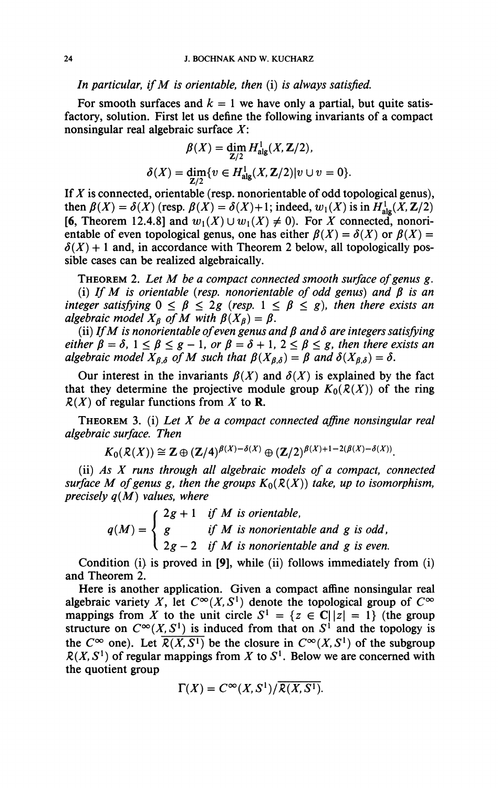*In particular, if M is orientable, then* (i) *is always satisfied.* 

For smooth surfaces and  $k = 1$  we have only a partial, but quite satisfactory, solution. First let us define the following invariants of a compact nonsingular real algebraic surface *X:* 

$$
\beta(X) = \dim_{\mathbf{Z}/2} H^1_{\text{alg}}(X, \mathbf{Z}/2),
$$
  

$$
\delta(X) = \dim_{\mathbf{Z}/2} \{ v \in H^1_{\text{alg}}(X, \mathbf{Z}/2) | v \cup v = 0 \}.
$$

If *X* is connected, orientable (resp. nonorientable of odd topological genus), then  $\beta(X) = \delta(X)$  (resp.  $\beta(X) = \delta(X) + 1$ ; indeed,  $w_1(X)$  is in  $H^1_{\text{alg}}(X, Z/2)$ ) [6, Theorem 12.4.8] and  $w_1(X) \cup w_1(X) \neq 0$ . For X connected, nonorientable of even topological genus, one has either  $\beta(X) = \delta(X)$  or  $\beta(X) =$  $\delta(X)$  + 1 and, in accordance with Theorem 2 below, all topologically possible cases can be realized algebraically.

THEOREM 2. *Let M be a compact connected smooth surface of genus g.*  (i) If M is orientable (resp. nonorientable of odd genus) and  $\beta$  is an *integer satisfying*  $0 \le \beta \le 2g$  (resp.  $1 \le \beta \le g$ ), then there exists an *algebraic model*  $X_{\beta}$  *of*  $M$  *with*  $\beta(X_{\beta}) = \beta$ .

(ii) If M is nonorientable of even genus and  $\beta$  and  $\delta$  are integers satisfying *either*  $\beta = \delta$ ,  $1 \leq \beta \leq g - 1$ , or  $\beta = \delta + 1$ ,  $2 \leq \beta \leq g$ , then there exists an *algebraic model*  $X_{\beta,\delta}$  *of M such that*  $\beta(X_{\beta,\delta}) = \beta$  *and*  $\delta(X_{\beta,\delta}) = \delta$ *.* 

Our interest in the invariants  $\beta(X)$  and  $\delta(X)$  is explained by the fact that they determine the projective module group  $K_0(R(X))$  of the ring  $R(X)$  of regular functions from X to **R**.

THEOREM 3. (i) *Let X be a compact connected affine nonsingular real algebraic surface. Then* 

$$
K_0(\mathcal{R}(X)) \cong \mathbf{Z} \oplus (\mathbf{Z}/4)^{\beta(X) - \delta(X)} \oplus (\mathbf{Z}/2)^{\beta(X) + 1 - 2(\beta(X) - \delta(X))}.
$$

(ii) *As X runs through all algebraic models of a compact, connected surface M of genus g, then the groups*  $K_0(R(X))$  *take, up to isomorphism, precisely q(M) values, where* 

$$
q(M) = \begin{cases} 2g + 1 & \text{if } M \text{ is orientable,} \\ g & \text{if } M \text{ is nonorientable and } g \text{ is odd,} \\ 2g - 2 & \text{if } M \text{ is nonorientable and } g \text{ is even.} \end{cases}
$$

*2 aroved in*  $\overline{191}$  while *(ii)* follows immediately fractional Condition  $\langle i \rangle$  is proved in [9], while  $\langle ii \rangle$  follows immediately from  $\langle i \rangle$ <br>d Theorem 2 and Theorem 2.<br>Here is another application. Given a compact affine nonsingular real

algebraic variety X, let  $C^{\infty}(X, S^1)$  denote the topological group of  $C^{\infty}$ algebraic variety *X*, let C°(*X*, S°) denote the topological group of C°<sup>{7}</sup> mannings from *X*<sup>{7}</sup> to the unit circle  $S<sup>1</sup> = \{z \in C | |z| = 1\}$  (the group mappings from *X* to the unit circle  $S = \{z \in C|\overline{z}\} = \overline{Y}$  (the group<br>structure on  $C^{\infty}(X, S^1)$  is induced from that on  $S^1$  and the topology is structure on C°( $\overline{X}$ ,  $\overline{S}$ ) is induced from that on S<sup>*l*</sup> and the topology is<br>the  $\overline{C}^{\infty}$  one) Let  $\overline{P(Y|S)}$  be the closure in  $\overline{C}^{\infty}(Y|S^1)$  of the subgroup the C<sup>∞</sup> one). Let  $\mathcal{R}(X, S^2)$  be the closure in C<sup>∞</sup> $(X, S^2)$  of the subgroup<br> $\mathcal{R}(Y, S^1)$  of requier mannings from Y to S<sup>1</sup>. Below we are concerned with *k(X, S<sup>x</sup> )* of regular mappings from *X* to *S{ .* Below we are concerned with the quotient group

$$
\Gamma(X) = C^{\infty}(X, S^1) / \overline{\mathcal{R}(X, S^1)}.
$$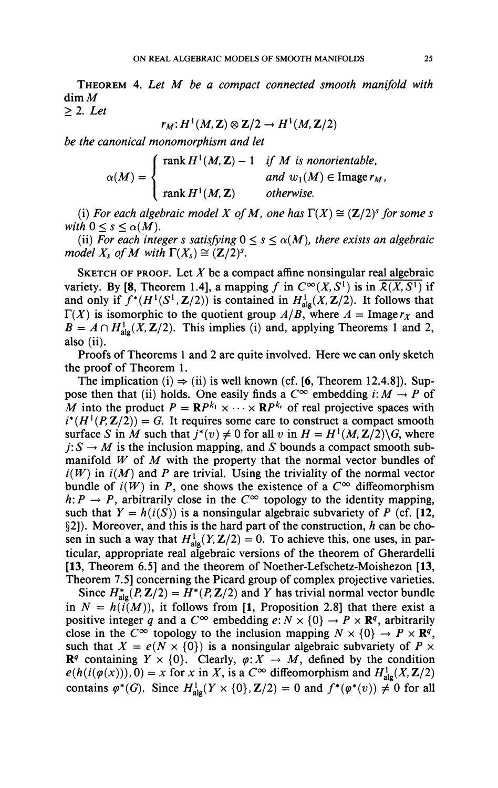THEOREM 4. *Let M be a compact connected smooth manifold with*  dim M  $\geq$  2. Let

$$
r_M: H^1(M,\mathbf{Z}) \otimes \mathbf{Z}/2 \to H^1(M,\mathbf{Z}/2)
$$

*be the canonical monomorphism and let* 

$$
\alpha(M) = \begin{cases} \text{rank } H^1(M, \mathbf{Z}) - 1 & \text{if } M \text{ is nonorientable,} \\ \text{and } w_1(M) \in \text{Image } r_M, \\ \text{rank } H^1(M, \mathbf{Z}) & \text{otherwise.} \end{cases}
$$

(i) For each algebraic model X of M, one has  $\Gamma(X) \cong (\mathbb{Z}/2)^s$  for some s *with*  $0 \leq s \leq \alpha(M)$ *.* 

(ii) For each integer s satisfying  $0 \leq s \leq \alpha(M)$ , there exists an algebraic *model X<sub>s</sub>* of M with  $\Gamma(X_s) \cong (\mathbb{Z}/2)^s$ .

SKETCH OF PROOF. Let *X* be a compact affine nonsingular real algebraic variety. By [8, Theorem 1.4], a mapping f in  $C^{\infty}(X, S^1)$  is in  $\overline{\mathcal{R}(X, S^1)}$  if and only if  $f^*(H^1(S^1, \mathbb{Z}/2))$  is contained in  $H^1_{\text{alg}}(X, \mathbb{Z}/2)$ . It follows that  $\Gamma(X)$  is isomorphic to the quotient group  $A/B$ , where  $A = \text{Image } r_X$  and  $B = A \cap H^1_{\text{alo}}(X, \mathbb{Z}/2)$ . This implies (i) and, applying Theorems 1 and 2, also (ii).

Proofs of Theorems 1 and 2 are quite involved. Here we can only sketch the proof of Theorem 1.

The implication (i)  $\Rightarrow$  (ii) is well known (cf. [6, Theorem 12.4.8]). Suppose then that (ii) holds. One easily finds a  $C^{\infty}$  embedding  $i: M \to P$  of *M* into the product  $P = \mathbb{R}P^{k_1} \times \cdots \times \mathbb{R}P^{k_r}$  of real projective spaces with  $i^*(H^1(P, \mathbb{Z}/2)) = G$ . It requires some care to construct a compact smooth surface *S* in *M* such that  $j^*(v) \neq 0$  for all *v* in  $H = H^1(M, \mathbb{Z}/2) \setminus G$ , where  $j: S \to M$  is the inclusion mapping, and *S* bounds a compact smooth submanifold *W* of *M* with the property that the normal vector bundles of  $i(W)$  in  $i(M)$  and P are trivial. Using the triviality of the normal vector bundle of  $i(W)$  in P, one shows the existence of a  $C^{\infty}$  diffeomorphism  $h: P \to P$ , arbitrarily close in the  $C^{\infty}$  topology to the identity mapping, such that  $Y = h(i(S))$  is a nonsingular algebraic subvariety of P (cf. [12, §2]). Moreover, and this is the hard part of the construction, *h* can be chosen in such a way that  $H^1_{alg}(Y, \mathbb{Z}/2) = 0$ . To achieve this, one uses, in particular, appropriate real algebraic versions of the theorem of Gherardelli [13, Theorem 6.5] and the theorem of Noether-Lefschetz-Moishezon [13, Theorem 7.5] concerning the Picard group of complex projective varieties.

Since  $H^*_{\text{ale}}(P, \mathbb{Z}/2) = H^*(P, \mathbb{Z}/2)$  and *Y* has trivial normal vector bundle in  $N = h(i(M))$ , it follows from [1, Proposition 2.8] that there exist a positive integer q and a  $C^{\infty}$  embedding  $e: N \times \{0\} \to P \times \mathbb{R}^q$ , arbitrarily close in the  $C^{\infty}$  topology to the inclusion mapping  $N \times \{0\} \rightarrow P \times \mathbb{R}^q$ , such that  $X = e(N \times \{0\})$  is a nonsingular algebraic subvariety of  $P \times$  $\mathbb{R}^q$  containing  $Y \times \{0\}$ . Clearly,  $\varphi: X \to M$ , defined by the condition  $e(h(i(\varphi(x))), 0) = x$  for *x* in *X*, is a  $C^{\infty}$  diffeomorphism and  $H^1_{\text{alg}}(X, \mathbb{Z}/2)$ contains  $\varphi^*(G)$ . Since  $H^1_{\text{alg}}(Y \times \{0\}, \mathbb{Z}/2) = 0$  and  $f^*(\varphi^*(v)) \neq 0$  for all